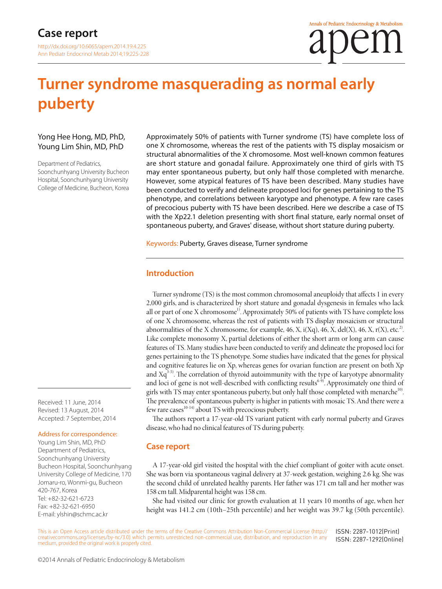Ann Pediatr Endocrinol Metab 2014;19:225-228

# **Turner syndrome masquerading as normal early puberty**

## Yong Hee Hong, MD, PhD, Young Lim Shin, MD, PhD

Department of Pediatrics, Soonchunhyang University Bucheon Hospital, Soonchunhyang University College of Medicine, Bucheon, Korea

Approximately 50% of patients with Turner syndrome (TS) have complete loss of one X chromosome, whereas the rest of the patients with TS display mosaicism or structural abnormalities of the X chromosome. Most well-known common features are short stature and gonadal failure. Approximately one third of girls with TS may enter spontaneous puberty, but only half those completed with menarche. However, some atypical features of TS have been described. Many studies have been conducted to verify and delineate proposed loci for genes pertaining to the TS phenotype, and correlations between karyotype and phenotype. A few rare cases of precocious puberty with TS have been described. Here we describe a case of TS with the Xp22.1 deletion presenting with short final stature, early normal onset of spontaneous puberty, and Graves' disease, without short stature during puberty.

Keywords: Puberty, Graves disease, Turner syndrome

## **Introduction**

Turner syndrome (TS) is the most common chromosomal aneuploidy that affects 1 in every 2,000 girls, and is characterized by short stature and gonadal dysgenesis in females who lack all or part of one X chromosome<sup>1</sup>. Approximately 50% of patients with TS have complete loss of one X chromosome, whereas the rest of patients with TS display mosaicism or structural abnormalities of the X chromosome, for example, 46, X, i(Xq), 46, X, del(X), 46, X, r(X), etc.<sup>2)</sup>. Like complete monosomy X, partial deletions of either the short arm or long arm can cause features of TS. Many studies have been conducted to verify and delineate the proposed loci for genes pertaining to the TS phenotype. Some studies have indicated that the genes for physical and cognitive features lie on Xp, whereas genes for ovarian function are present on both Xp and  $Xq^{3-5}$ . The correlation of thyroid autoimmunity with the type of karyotype abnormality and loci of gene is not well-described with conflicting results<sup>6-9</sup>. Approximately one third of girls with TS may enter spontaneous puberty, but only half those completed with menarche<sup>10)</sup>. The prevalence of spontaneous puberty is higher in patients with mosaic TS. And there were a few rare cases $^{10-14)}$  about TS with precocious puberty.

The authors report a 17-year-old TS variant patient with early normal puberty and Graves disease, who had no clinical features of TS during puberty.

## **Case report**

A 17-year-old girl visited the hospital with the chief compliant of goiter with acute onset. She was born via spontaneous vaginal delivery at 37-week gestation, weighing 2.6 kg. She was the second child of unrelated healthy parents. Her father was 171 cm tall and her mother was 158 cm tall. Midparental height was 158 cm.

She had visited our clinic for growth evaluation at 11 years 10 months of age, when her height was 141.2 cm (10th–25th percentile) and her weight was 39.7 kg (50th percentile).

This is an Open Access article distributed under the terms of the Creative Commons Attribution Non-Commercial License (http:// creativecommons.org/licenses/by-nc/3.0) which permits unrestricted non-commercial use, distribution, and reproduction in any medium, provided the original work is properly cited. ISSN: 2287-1012(Print) ISSN: 2287-1292(Online)

Received: 11 June, 2014 Revised: 13 August, 2014 Accepted: 7 September, 2014

#### Address for correspondence:

Young Lim Shin, MD, PhD Department of Pediatrics, Soonchunhyang University Bucheon Hospital, Soonchunhyang University College of Medicine, 170 Jomaru-ro, Wonmi-gu, Bucheon 420-767, Korea Tel: +82-32-621-6723 Fax: +82-32-621-6950 E-mail: ylshin@schmc.ac.kr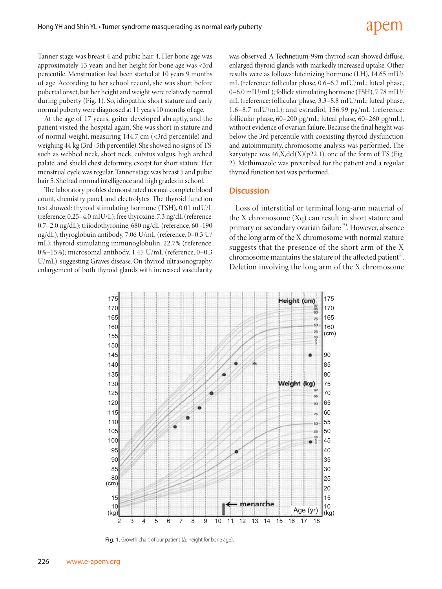Tanner stage was breast 4 and pubic hair 4. Her bone age was approximately 13 years and her height for bone age was <3rd percentile. Menstruation had been started at 10 years 9 months of age. According to her school record, she was short before pubertal onset, but her height and weight were relatively normal during puberty (Fig. 1). So, idiopathic short stature and early normal puberty were diagnosed at 11 years 10 months of age.

At the age of 17 years, goiter developed abruptly, and the patient visited the hospital again. She was short in stature and of normal weight, measuring 144.7 cm (<3rd percentile) and weighing 44 kg (3rd–5th percentile). She showed no signs of TS, such as webbed neck, short neck, cubitus valgus, high arched palate, and shield chest deformity, except for short stature. Her menstrual cycle was regular. Tanner stage was breast 5 and pubic hair 5. She had normal intelligence and high grades in school.

The laboratory profiles demonstrated normal complete blood count, chemistry panel, and electrolytes. The thyroid function test showed: thyroid stimulating hormone (TSH), 0.01 mIU/L (reference, 0.25–4.0 mIU/L); free thyroxine, 7.3 ng/dL (reference, 0.7–2.0 ng/dL); triiodothyronine, 680 ng/dL (reference, 60–190 ng/dL), thyroglobuin antibody, 7.06 U/mL (reference, 0–0.3 U/ mL); thyroid stimulating immunoglobulin, 22.7% (reference, 0%–15%); microsomal antibody, 1.45 U/mL (reference, 0–0.3 U/mL), suggesting Graves disease. On thyroid ultrasonography, enlargement of both thyroid glands with increased vascularity

was observed. A Technetium-99m thyroid scan showed diffuse, enlarged thyroid glands with markedly increased uptake. Other results were as follows: luteinizing hormone (LH), 14.65 mIU/ mL (reference: follicular phase, 0.6–6.2 mIU/mL; luteal phase, 0–6.0 mIU/mL); follicle stimulating hormone (FSH), 7.78 mIU/ mL (reference: follicular phase, 3.3–8.8 mIU/mL; luteal phase, 1.6–8.7 mIU/mL); and estradiol, 156.99 pg/mL (reference: follicular phase, 60–200 pg/mL; luteal phase, 60–260 pg/mL), without evidence of ovarian failure. Because the final height was below the 3rd percentile with coexisting thyroid dysfunction and autoimmunity, chromosome analysis was performed. The karyotype was  $46$ ,X,del $(X)(p22.1)$ , one of the form of TS (Fig. 2). Methimazole was prescribed for the patient and a regular thyroid function test was performed.

#### **Discussion**

Loss of interstitial or terminal long-arm material of the X chromosome (Xq) can result in short stature and primary or secondary ovarian failure<sup>15)</sup>. However, absence of the long arm of the X chromosome with normal stature suggests that the presence of the short arm of the X chromosome maintains the stature of the affected patient<sup>1)</sup>. Deletion involving the long arm of the X chromosome



**Fig. 1.** Growth chart of our patient (Δ: height for bone age).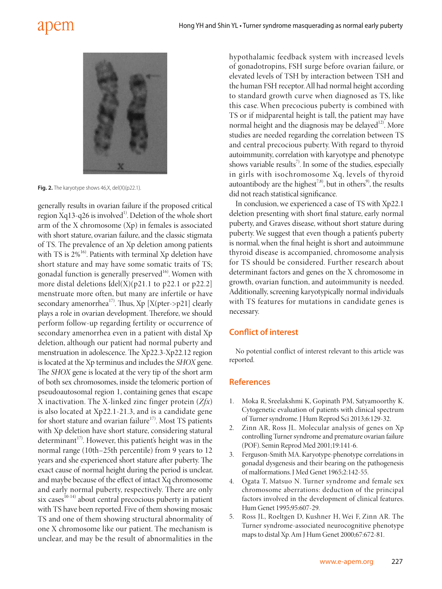

Fig. 2. The karyotype shows 46,X, del(X)(p22.1).

generally results in ovarian failure if the proposed critical region  $Xq13-q26$  is involved<sup>1)</sup>. Deletion of the whole short arm of the X chromosome (Xp) in females is associated with short stature, ovarian failure, and the classic stigmata of TS. The prevalence of an Xp deletion among patients with TS is  $2\%$ <sup>16)</sup>. Patients with terminal Xp deletion have short stature and may have some somatic traits of TS; gonadal function is generally preserved<sup>16)</sup>. Women with more distal deletions  $[del(X)(p21.1$  to p22.1 or p22.2] menstruate more often, but many are infertile or have secondary amenorrhea<sup>17)</sup>. Thus, Xp [X(pter->p21] clearly plays a role in ovarian development. Therefore, we should perform follow-up regarding fertility or occurrence of secondary amenorrhea even in a patient with distal Xp deletion, although our patient had normal puberty and menstruation in adolescence. The Xp22.3-Xp22.12 region is located at the Xp terminus and includes the *SHOX* gene. The *SHOX* gene is located at the very tip of the short arm of both sex chromosomes, inside the telomeric portion of pseudoautosomal region 1, containing genes that escape X inactivation. The X-linked zinc finger protein (*Zfx*) is also located at Xp22.1-21.3, and is a candidate gene for short stature and ovarian failure<sup>17)</sup>. Most TS patients with Xp deletion have short stature, considering statural determinant<sup>17)</sup>. However, this patient's height was in the normal range (10th–25th percentile) from 9 years to 12 years and she experienced short stature after puberty. The exact cause of normal height during the period is unclear, and maybe because of the effect of intact Xq chromosome and early normal puberty, respectively. There are only six cases  $(0.14)$  about central precocious puberty in patient with TS have been reported. Five of them showing mosaic TS and one of them showing structural abnormality of one X chromosome like our patient. The mechanism is unclear, and may be the result of abnormalities in the

hypothalamic feedback system with increased levels of gonadotropins, FSH surge before ovarian failure, or elevated levels of TSH by interaction between TSH and the human FSH receptor. All had normal height according to standard growth curve when diagnosed as TS, like this case. When precocious puberty is combined with TS or if midparental height is tall, the patient may have normal height and the diagnosis may be delayed<sup>12)</sup>. More studies are needed regarding the correlation between TS and central precocious puberty. With regard to thyroid autoimmunity, correlation with karyotype and phenotype shows variable results<sup>7)</sup>. In some of the studies, especially in girls with isochromosome Xq, levels of thyroid autoantibody are the highest<sup>7,8)</sup>, but in others<sup>9</sup>, the results did not reach statistical significance.

In conclusion, we experienced a case of TS with Xp22.1 deletion presenting with short final stature, early normal puberty, and Graves disease, without short stature during puberty. We suggest that even though a patient's puberty is normal, when the final height is short and autoimmune thyroid disease is accompanied, chromosome analysis for TS should be considered. Further research about determinant factors and genes on the X chromosome in growth, ovarian function, and autoimmunity is needed. Additionally, screening karyotypically normal individuals with TS features for mutations in candidate genes is necessary.

# **Conflict of interest**

No potential conflict of interest relevant to this article was reported.

# **References**

- 1. Moka R, Sreelakshmi K, Gopinath PM, Satyamoorthy K. Cytogenetic evaluation of patients with clinical spectrum of Turner syndrome. J Hum Reprod Sci 2013;6:129-32.
- 2. Zinn AR, Ross JL. Molecular analysis of genes on Xp controlling Turner syndrome and premature ovarian failure (POF). Semin Reprod Med 2001;19:141-6.
- 3. Ferguson-Smith MA. Karyotype-phenotype correlations in gonadal dysgenesis and their bearing on the pathogenesis of malformations. J Med Genet 1965;2:142-55.
- 4. Ogata T, Matsuo N. Turner syndrome and female sex chromosome aberrations: deduction of the principal factors involved in the development of clinical features. Hum Genet 1995;95:607-29.
- 5. Ross JL, Roeltgen D, Kushner H, Wei F, Zinn AR. The Turner syndrome-associated neurocognitive phenotype maps to distal Xp. Am J Hum Genet 2000;67:672-81.